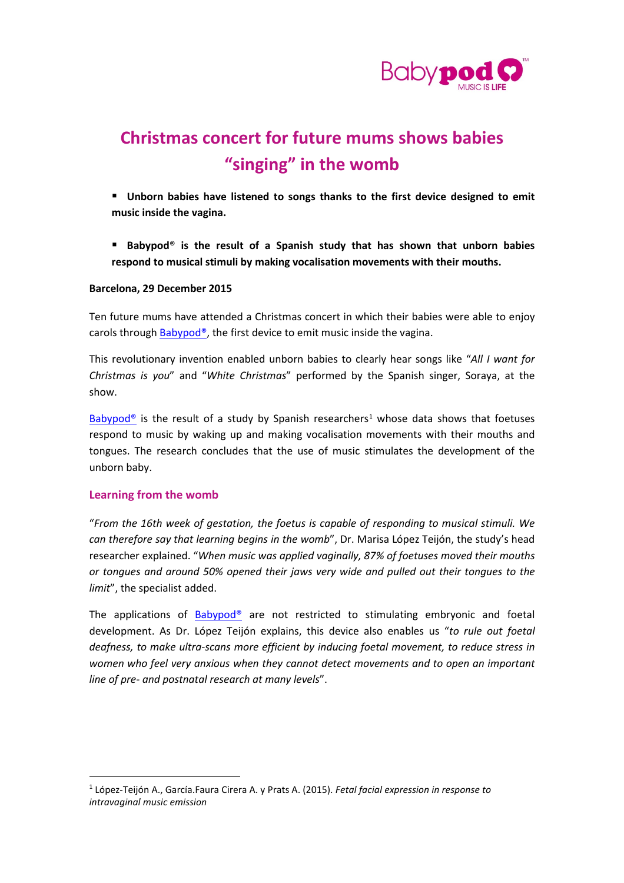

# **Christmas concert for future mums shows babies "singing" in the womb**

- **Unborn babies have listened to songs thanks to the first device designed to emit music inside the vagina.**
- **Babypod**® **is the result of a Spanish study that has shown that unborn babies respond to musical stimuli by making vocalisation movements with their mouths.**

#### **Barcelona, 29 December 2015**

Ten future mums have attended a Christmas concert in which their babies were able to enjoy carols through **Babypod®**, the first device to emit music inside the vagina.

This revolutionary invention enabled unborn babies to clearly hear songs like "*All I want for Christmas is you*" and "*White Christmas*" performed by the Spanish singer, Soraya, at the show.

 $Babypod<sup>®</sup>$  is the result of a study by Spanish researchers<sup>[1](#page-0-0)</sup> whose data shows that foetuses respond to music by waking up and making vocalisation movements with their mouths and tongues. The research concludes that the use of music stimulates the development of the unborn baby.

# **Learning from the womb**

 $\overline{a}$ 

"*From the 16th week of gestation, the foetus is capable of responding to musical stimuli. We can therefore say that learning begins in the womb*", Dr. Marisa López Teijón, the study's head researcher explained. "*When music was applied vaginally, 87% of foetuses moved their mouths or tongues and around 50% opened their jaws very wide and pulled out their tongues to the limit*", the specialist added.

The applications of [Babypod®](http://www.babypod.net/) are not restricted to stimulating embryonic and foetal development. As Dr. López Teijón explains, this device also enables us "*to rule out foetal deafness, to make ultra-scans more efficient by inducing foetal movement, to reduce stress in women who feel very anxious when they cannot detect movements and to open an important line of pre- and postnatal research at many levels*".

<span id="page-0-0"></span><sup>1</sup> López-Teijón A., García.Faura Cirera A. y Prats A. (2015). *Fetal facial expression in response to intravaginal music emission*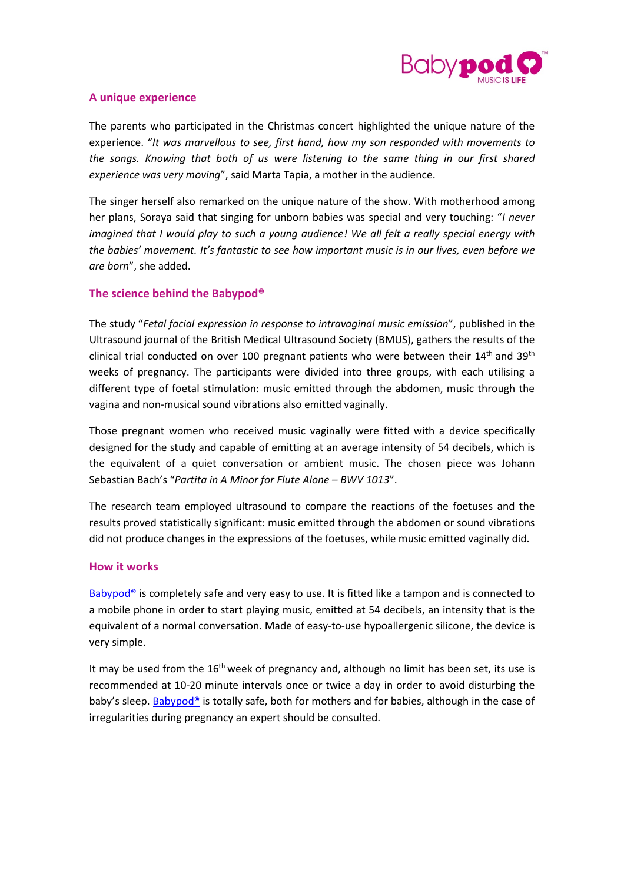

# **A unique experience**

The parents who participated in the Christmas concert highlighted the unique nature of the experience. "*It was marvellous to see, first hand, how my son responded with movements to the songs. Knowing that both of us were listening to the same thing in our first shared experience was very moving*", said Marta Tapia, a mother in the audience.

The singer herself also remarked on the unique nature of the show. With motherhood among her plans, Soraya said that singing for unborn babies was special and very touching: "*I never imagined that I would play to such a young audience! We all felt a really special energy with the babies' movement. It's fantastic to see how important music is in our lives, even before we are born*", she added.

# **The science behind the Babypod®**

The study "*Fetal facial expression in response to intravaginal music emission*", published in the Ultrasound journal of the British Medical Ultrasound Society (BMUS), gathers the results of the clinical trial conducted on over 100 pregnant patients who were between their 14<sup>th</sup> and 39<sup>th</sup> weeks of pregnancy. The participants were divided into three groups, with each utilising a different type of foetal stimulation: music emitted through the abdomen, music through the vagina and non-musical sound vibrations also emitted vaginally.

Those pregnant women who received music vaginally were fitted with a device specifically designed for the study and capable of emitting at an average intensity of 54 decibels, which is the equivalent of a quiet conversation or ambient music. The chosen piece was Johann Sebastian Bach's "*Partita in A Minor for Flute Alone – BWV 1013*".

The research team employed ultrasound to compare the reactions of the foetuses and the results proved statistically significant: music emitted through the abdomen or sound vibrations did not produce changes in the expressions of the foetuses, while music emitted vaginally did.

# **How it works**

Babypod<sup>®</sup> is completely safe and very easy to use. It is fitted like a tampon and is connected to a mobile phone in order to start playing music, emitted at 54 decibels, an intensity that is the equivalent of a normal conversation. Made of easy-to-use hypoallergenic silicone, the device is very simple.

It may be used from the 16<sup>th</sup> week of pregnancy and, although no limit has been set, its use is recommended at 10-20 minute intervals once or twice a day in order to avoid disturbing the baby's sleep. Babypod<sup>®</sup> is totally safe, both for mothers and for babies, although in the case of irregularities during pregnancy an expert should be consulted.